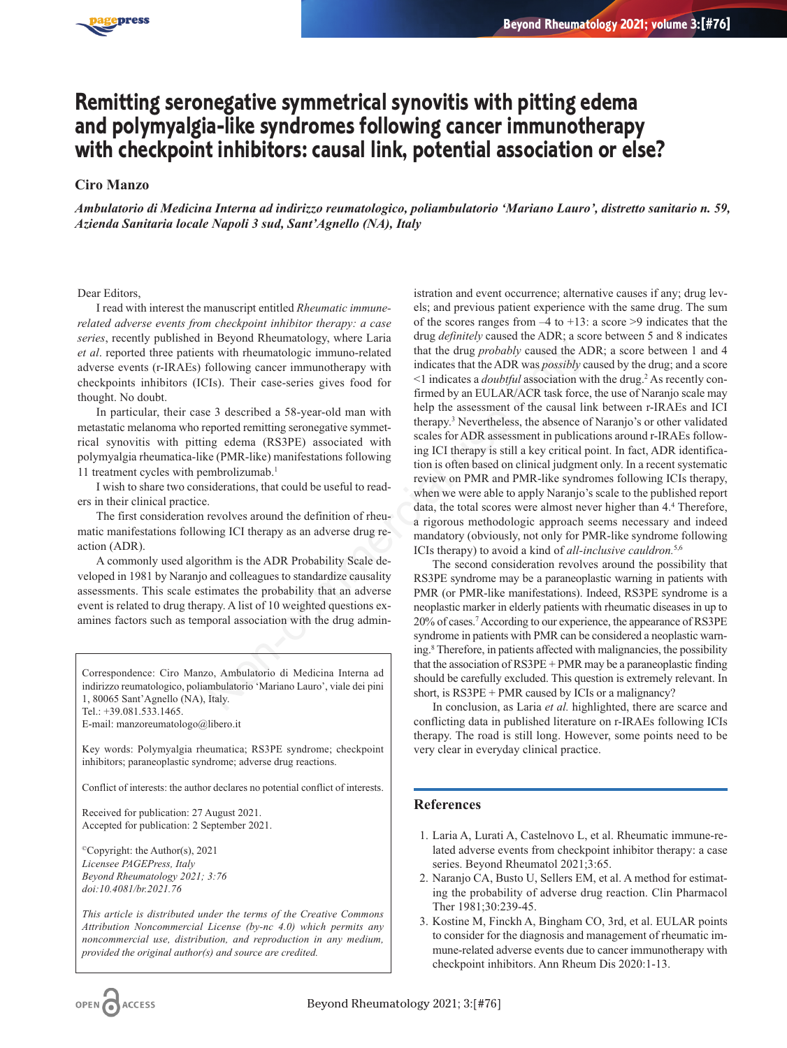

## **Remitting seronegative symmetrical synovitis with pitting edema and polymyalgia-like syndromes following cancer immunotherapy with checkpoint inhibitors: causal link, potential association or else?**

## **Ciro Manzo**

*Ambulatorio di Medicina Interna ad indirizzo reumatologico, poliambulatorio 'Mariano Lauro', distretto sanitario n. 59, Azienda Sanitaria locale Napoli 3 sud, Sant'Agnello (NA), Italy*

Dear Editors,

I read with interest the manuscript entitled *Rheumatic immunerelated adverse events from checkpoint inhibitor therapy: a case series*, recently published in Beyond Rheumatology, where Laria *et al*. reported three patients with rheumatologic immuno-related adverse events (r-IRAEs) following cancer immunotherapy with checkpoints inhibitors (ICIs). Their case-series gives food for thought. No doubt.

In particular, their case 3 described a 58-year-old man with metastatic melanoma who reported remitting seronegative symmetrical synovitis with pitting edema (RS3PE) associated with polymyalgia rheumatica-like (PMR-like) manifestations following 11 treatment cycles with pembrolizumab.1

I wish to share two considerations, that could be useful to readers in their clinical practice.

The first consideration revolves around the definition of rheumatic manifestations following ICI therapy as an adverse drug reaction (ADR).

A commonly used algorithm is the ADR Probability Scale developed in 1981 by Naranjo and colleagues to standardize causality assessments. This scale estimates the probability that an adverse event is related to drug therapy. A list of 10 weighted questions examines factors such as temporal association with the drug admin-

Correspondence: Ciro Manzo, Ambulatorio di Medicina Interna ad indirizzo reumatologico, poliambulatorio 'Mariano Lauro', viale dei pini 1, 80065 Sant'Agnello (NA), Italy. Tel.: +39.081.533.1465.

E-mail: manzoreumatologo@libero.it

Key words: Polymyalgia rheumatica; RS3PE syndrome; checkpoint inhibitors; paraneoplastic syndrome; adverse drug reactions.

Conflict of interests: the author declares no potential conflict of interests.

Received for publication: 27 August 2021. Accepted for publication: 2 September 2021.

©Copyright: the Author(s), 2021 *Licensee PAGEPress, Italy Beyond Rheumatology 2021; 3:76 doi:10.4081/br.2021.76*

*This article is distributed under the terms of the Creative Commons Attribution Noncommercial License (by-nc 4.0) which permits any noncommercial use, distribution, and reproduction in any medium, provided the original author(s) and source are credited.*

istration and event occurrence; alternative causes if any; drug levels; and previous patient experience with the same drug. The sum of the scores ranges from  $-4$  to  $+13$ : a score  $>9$  indicates that the drug *definitely* caused the ADR; a score between 5 and 8 indicates that the drug *probably* caused the ADR; a score between 1 and 4 indicates that the ADR was *possibly* caused by the drug; and a score <1 indicates a *doubtful* association with the drug.2 As recently confirmed by an EULAR/ACR task force, the use of Naranjo scale may help the assessment of the causal link between r-IRAEs and ICI therapy.3 Nevertheless, the absence of Naranjo's or other validated scales for ADR assessment in publications around r-IRAEs following ICI therapy is still a key critical point. In fact, ADR identification is often based on clinical judgment only. In a recent systematic review on PMR and PMR-like syndromes following ICIs therapy, when we were able to apply Naranjo's scale to the published report data, the total scores were almost never higher than 4.4 Therefore, a rigorous methodologic approach seems necessary and indeed mandatory (obviously, not only for PMR-like syndrome following ICIs therapy) to avoid a kind of *all-inclusive cauldron.*5,6 Non-Richarmonic symptom and the divergent state of the divergent state of the divergent state of the communion terms of the communion terms of the communion terms of the communion of the syear-old man with the divergent o

The second consideration revolves around the possibility that RS3PE syndrome may be a paraneoplastic warning in patients with PMR (or PMR-like manifestations). Indeed, RS3PE syndrome is a neoplastic marker in elderly patients with rheumatic diseases in up to 20% of cases.7According to our experience, the appearance of RS3PE syndrome in patients with PMR can be considered a neoplastic warning.8 Therefore, in patients affected with malignancies, the possibility that the association of RS3PE + PMR may be a paraneoplastic finding should be carefully excluded. This question is extremely relevant. In short, is RS3PE + PMR caused by ICIs or a malignancy?

In conclusion, as Laria *et al.* highlighted, there are scarce and conflicting data in published literature on r-IRAEs following ICIs therapy. The road is still long. However, some points need to be very clear in everyday clinical practice.

## **References**

- 1. Laria A, Lurati A, Castelnovo L, et al. Rheumatic immune-related adverse events from checkpoint inhibitor therapy: a case series. Beyond Rheumatol 2021;3:65.
- 2. Naranjo CA, Busto U, Sellers EM, et al. A method for estimating the probability of adverse drug reaction. Clin Pharmacol Ther 1981;30:239-45.
- 3. Kostine M, Finckh A, Bingham CO, 3rd, et al. EULAR points to consider for the diagnosis and management of rheumatic immune-related adverse events due to cancer immunotherapy with checkpoint inhibitors. Ann Rheum Dis 2020:1-13.